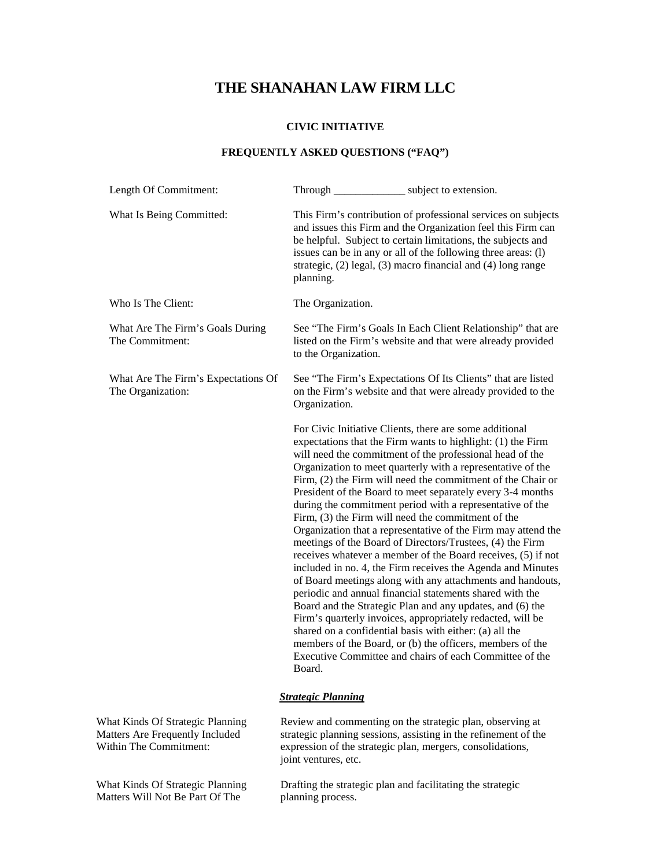# **THE SHANAHAN LAW FIRM LLC**

### **CIVIC INITIATIVE**

## **FREQUENTLY ASKED QUESTIONS ("FAQ")**

| Length Of Commitment:                                               |                                                                                                                              | Through __________________ subject to extension.                                                                                                                                                                                                                                                                                                                                                                                                                                                                                                                                                                                                                                                                                                                                                                                                                                                                                                                                                                                                                                                                                                                                                       |
|---------------------------------------------------------------------|------------------------------------------------------------------------------------------------------------------------------|--------------------------------------------------------------------------------------------------------------------------------------------------------------------------------------------------------------------------------------------------------------------------------------------------------------------------------------------------------------------------------------------------------------------------------------------------------------------------------------------------------------------------------------------------------------------------------------------------------------------------------------------------------------------------------------------------------------------------------------------------------------------------------------------------------------------------------------------------------------------------------------------------------------------------------------------------------------------------------------------------------------------------------------------------------------------------------------------------------------------------------------------------------------------------------------------------------|
| What Is Being Committed:                                            | planning.                                                                                                                    | This Firm's contribution of professional services on subjects<br>and issues this Firm and the Organization feel this Firm can<br>be helpful. Subject to certain limitations, the subjects and<br>issues can be in any or all of the following three areas: (1)<br>strategic, (2) legal, (3) macro financial and (4) long range                                                                                                                                                                                                                                                                                                                                                                                                                                                                                                                                                                                                                                                                                                                                                                                                                                                                         |
| Who Is The Client:                                                  | The Organization.                                                                                                            |                                                                                                                                                                                                                                                                                                                                                                                                                                                                                                                                                                                                                                                                                                                                                                                                                                                                                                                                                                                                                                                                                                                                                                                                        |
| What Are The Firm's Goals During<br>The Commitment:                 | to the Organization.                                                                                                         | See "The Firm's Goals In Each Client Relationship" that are<br>listed on the Firm's website and that were already provided                                                                                                                                                                                                                                                                                                                                                                                                                                                                                                                                                                                                                                                                                                                                                                                                                                                                                                                                                                                                                                                                             |
| What Are The Firm's Expectations Of<br>The Organization:            | Organization.                                                                                                                | See "The Firm's Expectations Of Its Clients" that are listed<br>on the Firm's website and that were already provided to the                                                                                                                                                                                                                                                                                                                                                                                                                                                                                                                                                                                                                                                                                                                                                                                                                                                                                                                                                                                                                                                                            |
|                                                                     | Board.                                                                                                                       | For Civic Initiative Clients, there are some additional<br>expectations that the Firm wants to highlight: (1) the Firm<br>will need the commitment of the professional head of the<br>Organization to meet quarterly with a representative of the<br>Firm, (2) the Firm will need the commitment of the Chair or<br>President of the Board to meet separately every 3-4 months<br>during the commitment period with a representative of the<br>Firm, (3) the Firm will need the commitment of the<br>Organization that a representative of the Firm may attend the<br>meetings of the Board of Directors/Trustees, (4) the Firm<br>receives whatever a member of the Board receives, (5) if not<br>included in no. 4, the Firm receives the Agenda and Minutes<br>of Board meetings along with any attachments and handouts,<br>periodic and annual financial statements shared with the<br>Board and the Strategic Plan and any updates, and (6) the<br>Firm's quarterly invoices, appropriately redacted, will be<br>shared on a confidential basis with either: (a) all the<br>members of the Board, or (b) the officers, members of the<br>Executive Committee and chairs of each Committee of the |
|                                                                     | <b>Strategic Planning</b>                                                                                                    |                                                                                                                                                                                                                                                                                                                                                                                                                                                                                                                                                                                                                                                                                                                                                                                                                                                                                                                                                                                                                                                                                                                                                                                                        |
| What Kinds Of Strategic Planning<br>Matters Are Frequently Included | Review and commenting on the strategic plan, observing at<br>strategic planning sessions, assisting in the refinement of the |                                                                                                                                                                                                                                                                                                                                                                                                                                                                                                                                                                                                                                                                                                                                                                                                                                                                                                                                                                                                                                                                                                                                                                                                        |

joint ventures, etc.

Matters Are Frequently Included Within The Commitment:

What Kinds Of Strategic Planning Matters Will Not Be Part Of The

Drafting the strategic plan and facilitating the strategic planning process.

expression of the strategic plan, mergers, consolidations,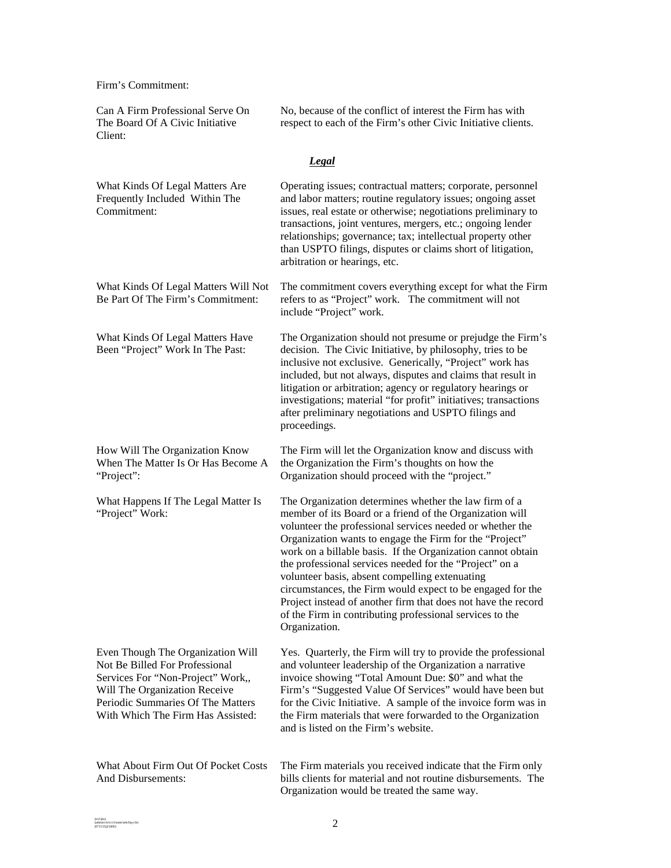Firm's Commitment:

Can A Firm Professional Serve On The Board Of A Civic Initiative Client: No, because of the conflict of interest the Firm has with respect to each of the Firm's other Civic Initiative clients. *Legal*  What Kinds Of Legal Matters Are Frequently Included Within The Commitment: Operating issues; contractual matters; corporate, personnel and labor matters; routine regulatory issues; ongoing asset issues, real estate or otherwise; negotiations preliminary to transactions, joint ventures, mergers, etc.; ongoing lender relationships; governance; tax; intellectual property other than USPTO filings, disputes or claims short of litigation, arbitration or hearings, etc. What Kinds Of Legal Matters Will Not Be Part Of The Firm's Commitment: The commitment covers everything except for what the Firm refers to as "Project" work. The commitment will not include "Project" work. What Kinds Of Legal Matters Have Been "Project" Work In The Past: The Organization should not presume or prejudge the Firm's decision. The Civic Initiative, by philosophy, tries to be inclusive not exclusive. Generically, "Project" work has included, but not always, disputes and claims that result in litigation or arbitration; agency or regulatory hearings or investigations; material "for profit" initiatives; transactions after preliminary negotiations and USPTO filings and proceedings. How Will The Organization Know When The Matter Is Or Has Become A "Project": The Firm will let the Organization know and discuss with the Organization the Firm's thoughts on how the Organization should proceed with the "project." What Happens If The Legal Matter Is "Project" Work: The Organization determines whether the law firm of a member of its Board or a friend of the Organization will volunteer the professional services needed or whether the Organization wants to engage the Firm for the "Project" work on a billable basis. If the Organization cannot obtain the professional services needed for the "Project" on a volunteer basis, absent compelling extenuating circumstances, the Firm would expect to be engaged for the Project instead of another firm that does not have the record of the Firm in contributing professional services to the Organization. Even Though The Organization Will Not Be Billed For Professional Services For "Non-Project" Work,, Will The Organization Receive Periodic Summaries Of The Matters With Which The Firm Has Assisted: Yes. Quarterly, the Firm will try to provide the professional and volunteer leadership of the Organization a narrative invoice showing "Total Amount Due: \$0" and what the Firm's "Suggested Value Of Services" would have been but for the Civic Initiative. A sample of the invoice form was in the Firm materials that were forwarded to the Organization and is listed on the Firm's website. What About Firm Out Of Pocket Costs And Disbursements: The Firm materials you received indicate that the Firm only bills clients for material and not routine disbursements. The Organization would be treated the same way.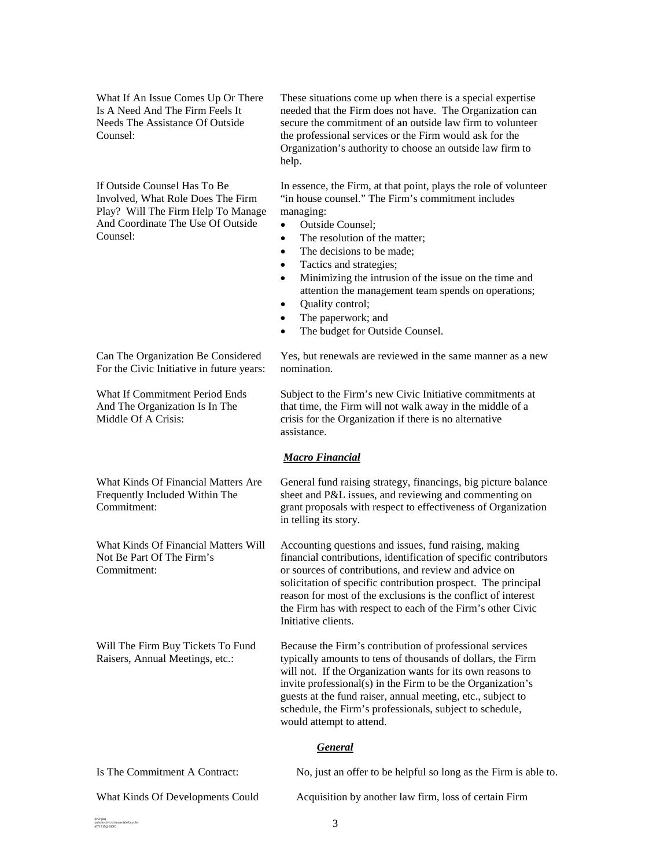What If An Issue Comes Up Or There Is A Need And The Firm Feels It Needs The Assistance Of Outside Counsel:

If Outside Counsel Has To Be Involved, What Role Does The Firm Play? Will The Firm Help To Manage And Coordinate The Use Of Outside Counsel:

Can The Organization Be Considered For the Civic Initiative in future years:

What If Commitment Period Ends And The Organization Is In The

What Kinds Of Financial Matters Are Frequently Included Within The

What Kinds Of Financial Matters Will

Will The Firm Buy Tickets To Fund Raisers, Annual Meetings, etc.:

Not Be Part Of The Firm's

Middle Of A Crisis:

Commitment:

Commitment:

These situations come up when there is a special expertise needed that the Firm does not have. The Organization can secure the commitment of an outside law firm to volunteer the professional services or the Firm would ask for the Organization's authority to choose an outside law firm to help.

In essence, the Firm, at that point, plays the role of volunteer "in house counsel." The Firm's commitment includes managing:

- Outside Counsel;
- The resolution of the matter:
- The decisions to be made;
- Tactics and strategies;
- Minimizing the intrusion of the issue on the time and attention the management team spends on operations;
- Quality control;
- The paperwork; and
- The budget for Outside Counsel.

Yes, but renewals are reviewed in the same manner as a new nomination.

Subject to the Firm's new Civic Initiative commitments at that time, the Firm will not walk away in the middle of a crisis for the Organization if there is no alternative assistance.

### *Macro Financial*

General fund raising strategy, financings, big picture balance sheet and P&L issues, and reviewing and commenting on grant proposals with respect to effectiveness of Organization in telling its story.

Accounting questions and issues, fund raising, making financial contributions, identification of specific contributors or sources of contributions, and review and advice on solicitation of specific contribution prospect. The principal reason for most of the exclusions is the conflict of interest the Firm has with respect to each of the Firm's other Civic Initiative clients.

Because the Firm's contribution of professional services typically amounts to tens of thousands of dollars, the Firm will not. If the Organization wants for its own reasons to invite professional(s) in the Firm to be the Organization's guests at the fund raiser, annual meeting, etc., subject to schedule, the Firm's professionals, subject to schedule, would attempt to attend.

### *General*

| Is The Commitment A Contract:    | No, just an offer to be helpful so long as the Firm is able to. |
|----------------------------------|-----------------------------------------------------------------|
| What Kinds Of Developments Could | Acquisition by another law firm, loss of certain Firm           |